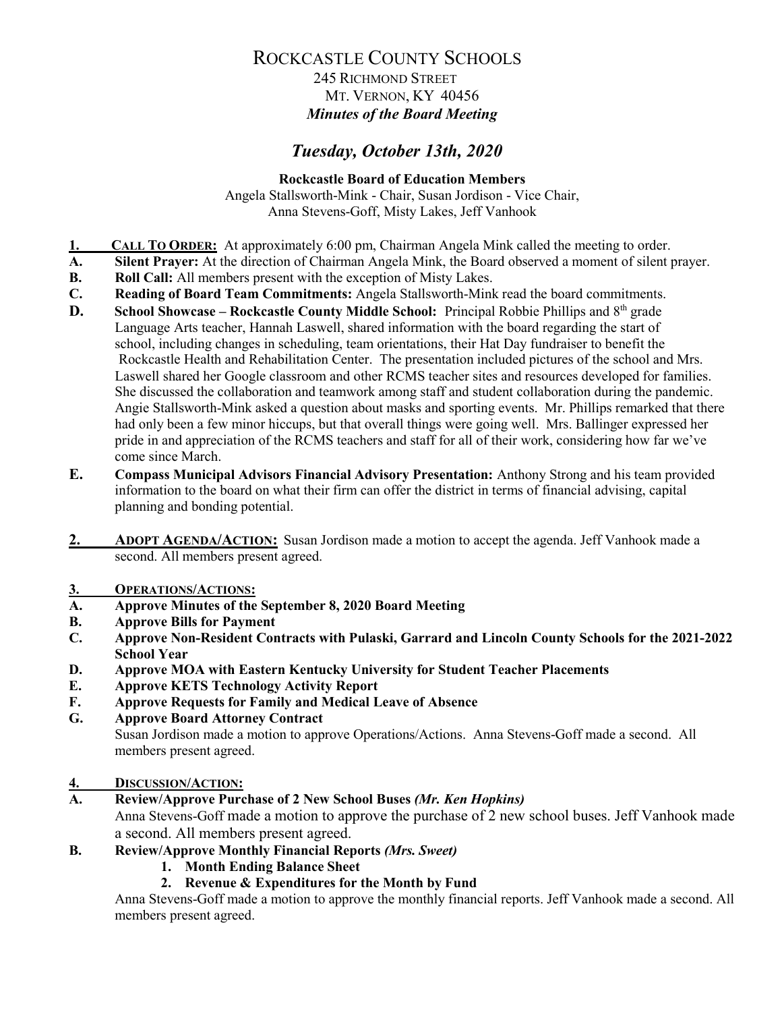### 245 RICHMOND STREET MT. VERNON, KY 40456 *Minutes of the Board Meeting*

# *Tuesday, October 13th, 2020*

**Rockcastle Board of Education Members** Angela Stallsworth-Mink - Chair, Susan Jordison - Vice Chair, Anna Stevens-Goff, Misty Lakes, Jeff Vanhook

- **1. CALL TO ORDER:** At approximately 6:00 pm, Chairman Angela Mink called the meeting to order.<br>**A.** Silent Praver: At the direction of Chairman Angela Mink, the Board observed a moment of silent i
- **A. Silent Prayer:** At the direction of Chairman Angela Mink, the Board observed a moment of silent prayer.
- **B. Roll Call:** All members present with the exception of Misty Lakes.
- **C. Reading of Board Team Commitments:** Angela Stallsworth-Mink read the board commitments.
- **D. School Showcase Rockcastle County Middle School:** Principal Robbie Phillips and 8<sup>th</sup> grade Language Arts teacher, Hannah Laswell, shared information with the board regarding the start of school, including changes in scheduling, team orientations, their Hat Day fundraiser to benefit the Rockcastle Health and Rehabilitation Center. The presentation included pictures of the school and Mrs. Laswell shared her Google classroom and other RCMS teacher sites and resources developed for families. She discussed the collaboration and teamwork among staff and student collaboration during the pandemic. Angie Stallsworth-Mink asked a question about masks and sporting events. Mr. Phillips remarked that there had only been a few minor hiccups, but that overall things were going well. Mrs. Ballinger expressed her pride in and appreciation of the RCMS teachers and staff for all of their work, considering how far we've come since March.
- **E. Compass Municipal Advisors Financial Advisory Presentation:** Anthony Strong and his team provided information to the board on what their firm can offer the district in terms of financial advising, capital planning and bonding potential.
- **2. ADOPT AGENDA/ACTION:** Susan Jordison made a motion to accept the agenda. Jeff Vanhook made a second. All members present agreed.

# **3. OPERATIONS/ACTIONS:**

- **A. Approve Minutes of the September 8, 2020 Board Meeting**
- **B. Approve Bills for Payment**
- **C. Approve Non-Resident Contracts with Pulaski, Garrard and Lincoln County Schools for the 2021-2022 School Year**
- **D. Approve MOA with Eastern Kentucky University for Student Teacher Placements**
- **E. Approve KETS Technology Activity Report**
- **F. Approve Requests for Family and Medical Leave of Absence**
- **G. Approve Board Attorney Contract**

Susan Jordison made a motion to approve Operations/Actions. Anna Stevens-Goff made a second. All members present agreed.

### **4. DISCUSSION/ACTION:**

**A. Review/Approve Purchase of 2 New School Buses** *(Mr. Ken Hopkins)*

Anna Stevens-Goff made a motion to approve the purchase of 2 new school buses. Jeff Vanhook made a second. All members present agreed.

- **B. Review/Approve Monthly Financial Reports** *(Mrs. Sweet)*
	- **1. Month Ending Balance Sheet**
		- **2. Revenue & Expenditures for the Month by Fund**

Anna Stevens-Goff made a motion to approve the monthly financial reports. Jeff Vanhook made a second. All members present agreed.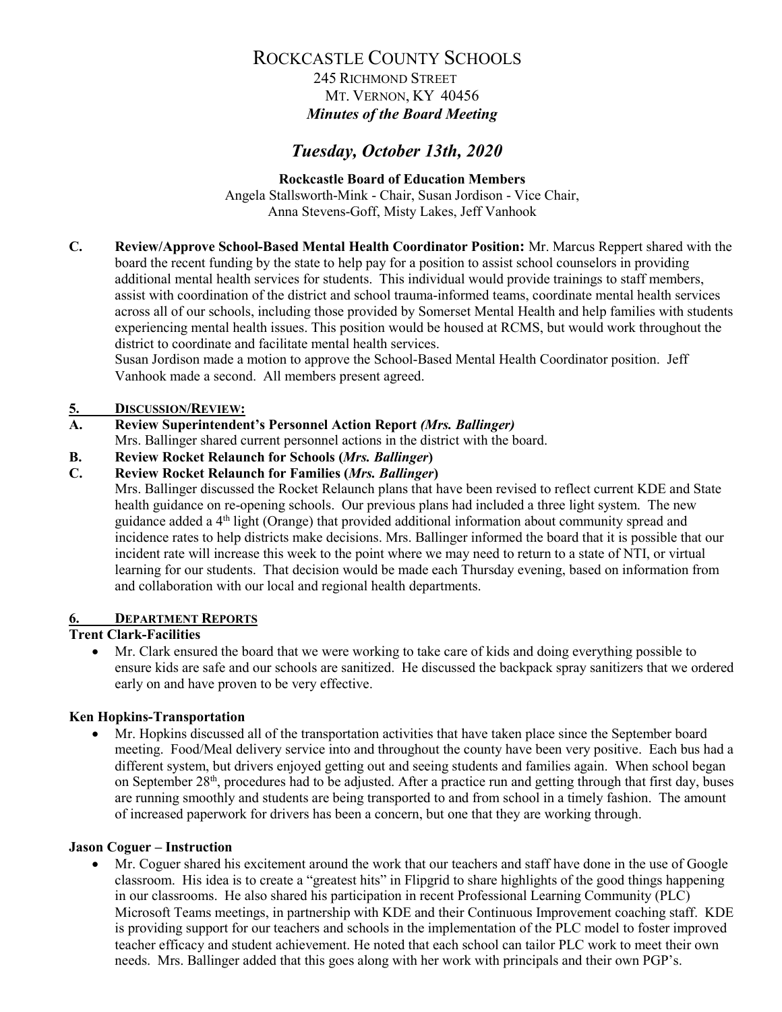### 245 RICHMOND STREET MT. VERNON, KY 40456 *Minutes of the Board Meeting*

## *Tuesday, October 13th, 2020*

**Rockcastle Board of Education Members** Angela Stallsworth-Mink - Chair, Susan Jordison - Vice Chair, Anna Stevens-Goff, Misty Lakes, Jeff Vanhook

**C. Review/Approve School-Based Mental Health Coordinator Position:** Mr. Marcus Reppert shared with the board the recent funding by the state to help pay for a position to assist school counselors in providing additional mental health services for students. This individual would provide trainings to staff members, assist with coordination of the district and school trauma-informed teams, coordinate mental health services across all of our schools, including those provided by Somerset Mental Health and help families with students experiencing mental health issues. This position would be housed at RCMS, but would work throughout the district to coordinate and facilitate mental health services.

Susan Jordison made a motion to approve the School-Based Mental Health Coordinator position. Jeff Vanhook made a second. All members present agreed.

### **5. DISCUSSION/REVIEW:**

### **A. Review Superintendent's Personnel Action Report** *(Mrs. Ballinger)*

Mrs. Ballinger shared current personnel actions in the district with the board.

**B. Review Rocket Relaunch for Schools (***Mrs. Ballinger***)**

**C. Review Rocket Relaunch for Families (***Mrs. Ballinger***)**

Mrs. Ballinger discussed the Rocket Relaunch plans that have been revised to reflect current KDE and State health guidance on re-opening schools. Our previous plans had included a three light system. The new guidance added a 4th light (Orange) that provided additional information about community spread and incidence rates to help districts make decisions. Mrs. Ballinger informed the board that it is possible that our incident rate will increase this week to the point where we may need to return to a state of NTI, or virtual learning for our students. That decision would be made each Thursday evening, based on information from and collaboration with our local and regional health departments.

### **6. DEPARTMENT REPORTS**

### **Trent Clark-Facilities**

• Mr. Clark ensured the board that we were working to take care of kids and doing everything possible to ensure kids are safe and our schools are sanitized. He discussed the backpack spray sanitizers that we ordered early on and have proven to be very effective.

### **Ken Hopkins-Transportation**

• Mr. Hopkins discussed all of the transportation activities that have taken place since the September board meeting. Food/Meal delivery service into and throughout the county have been very positive. Each bus had a different system, but drivers enjoyed getting out and seeing students and families again. When school began on September 28<sup>th</sup>, procedures had to be adjusted. After a practice run and getting through that first day, buses are running smoothly and students are being transported to and from school in a timely fashion. The amount of increased paperwork for drivers has been a concern, but one that they are working through.

#### **Jason Coguer – Instruction**

• Mr. Coguer shared his excitement around the work that our teachers and staff have done in the use of Google classroom. His idea is to create a "greatest hits" in Flipgrid to share highlights of the good things happening in our classrooms. He also shared his participation in recent Professional Learning Community (PLC) Microsoft Teams meetings, in partnership with KDE and their Continuous Improvement coaching staff. KDE is providing support for our teachers and schools in the implementation of the PLC model to foster improved teacher efficacy and student achievement. He noted that each school can tailor PLC work to meet their own needs. Mrs. Ballinger added that this goes along with her work with principals and their own PGP's.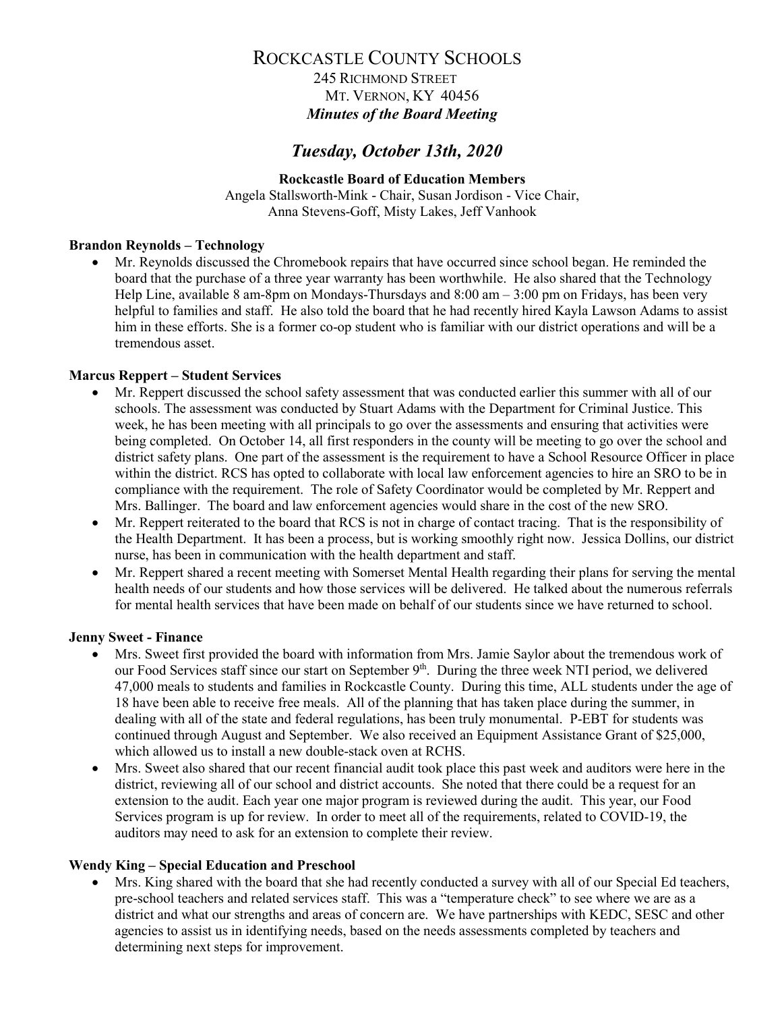### 245 RICHMOND STREET MT. VERNON, KY 40456 *Minutes of the Board Meeting*

### *Tuesday, October 13th, 2020*

#### **Rockcastle Board of Education Members** Angela Stallsworth-Mink - Chair, Susan Jordison - Vice Chair, Anna Stevens-Goff, Misty Lakes, Jeff Vanhook

#### **Brandon Reynolds – Technology**

• Mr. Reynolds discussed the Chromebook repairs that have occurred since school began. He reminded the board that the purchase of a three year warranty has been worthwhile. He also shared that the Technology Help Line, available 8 am-8pm on Mondays-Thursdays and 8:00 am – 3:00 pm on Fridays, has been very helpful to families and staff. He also told the board that he had recently hired Kayla Lawson Adams to assist him in these efforts. She is a former co-op student who is familiar with our district operations and will be a tremendous asset.

#### **Marcus Reppert – Student Services**

- Mr. Reppert discussed the school safety assessment that was conducted earlier this summer with all of our schools. The assessment was conducted by Stuart Adams with the Department for Criminal Justice. This week, he has been meeting with all principals to go over the assessments and ensuring that activities were being completed. On October 14, all first responders in the county will be meeting to go over the school and district safety plans. One part of the assessment is the requirement to have a School Resource Officer in place within the district. RCS has opted to collaborate with local law enforcement agencies to hire an SRO to be in compliance with the requirement. The role of Safety Coordinator would be completed by Mr. Reppert and Mrs. Ballinger. The board and law enforcement agencies would share in the cost of the new SRO.
- Mr. Reppert reiterated to the board that RCS is not in charge of contact tracing. That is the responsibility of the Health Department. It has been a process, but is working smoothly right now. Jessica Dollins, our district nurse, has been in communication with the health department and staff.
- Mr. Reppert shared a recent meeting with Somerset Mental Health regarding their plans for serving the mental health needs of our students and how those services will be delivered. He talked about the numerous referrals for mental health services that have been made on behalf of our students since we have returned to school.

#### **Jenny Sweet - Finance**

- Mrs. Sweet first provided the board with information from Mrs. Jamie Saylor about the tremendous work of our Food Services staff since our start on September 9<sup>th</sup>. During the three week NTI period, we delivered 47,000 meals to students and families in Rockcastle County. During this time, ALL students under the age of 18 have been able to receive free meals. All of the planning that has taken place during the summer, in dealing with all of the state and federal regulations, has been truly monumental. P-EBT for students was continued through August and September. We also received an Equipment Assistance Grant of \$25,000, which allowed us to install a new double-stack oven at RCHS.
- Mrs. Sweet also shared that our recent financial audit took place this past week and auditors were here in the district, reviewing all of our school and district accounts. She noted that there could be a request for an extension to the audit. Each year one major program is reviewed during the audit. This year, our Food Services program is up for review. In order to meet all of the requirements, related to COVID-19, the auditors may need to ask for an extension to complete their review.

#### **Wendy King – Special Education and Preschool**

• Mrs. King shared with the board that she had recently conducted a survey with all of our Special Ed teachers, pre-school teachers and related services staff. This was a "temperature check" to see where we are as a district and what our strengths and areas of concern are. We have partnerships with KEDC, SESC and other agencies to assist us in identifying needs, based on the needs assessments completed by teachers and determining next steps for improvement.